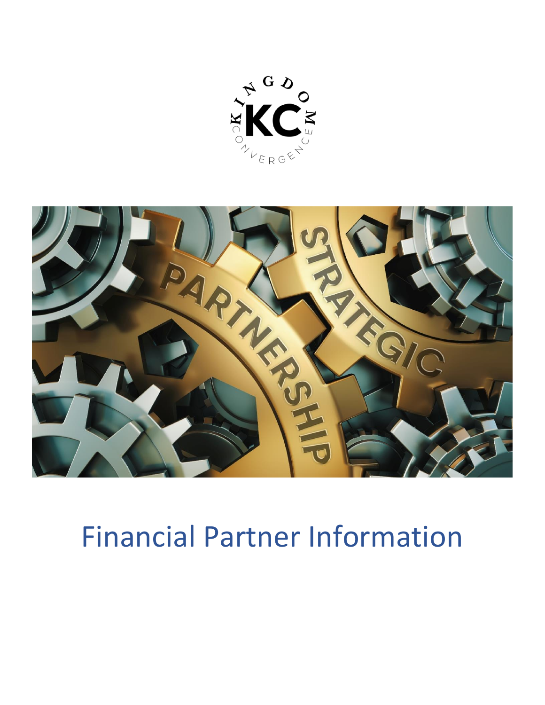



# Financial Partner Information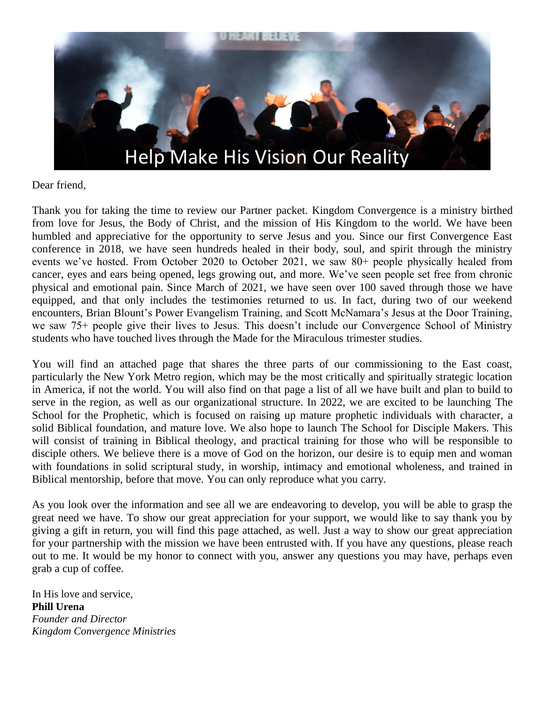

Dear friend,

Thank you for taking the time to review our Partner packet. Kingdom Convergence is a ministry birthed from love for Jesus, the Body of Christ, and the mission of His Kingdom to the world. We have been humbled and appreciative for the opportunity to serve Jesus and you. Since our first Convergence East conference in 2018, we have seen hundreds healed in their body, soul, and spirit through the ministry events we've hosted. From October 2020 to October 2021, we saw 80+ people physically healed from cancer, eyes and ears being opened, legs growing out, and more. We've seen people set free from chronic physical and emotional pain. Since March of 2021, we have seen over 100 saved through those we have equipped, and that only includes the testimonies returned to us. In fact, during two of our weekend encounters, Brian Blount's Power Evangelism Training, and Scott McNamara's Jesus at the Door Training, we saw 75+ people give their lives to Jesus. This doesn't include our Convergence School of Ministry students who have touched lives through the Made for the Miraculous trimester studies.

You will find an attached page that shares the three parts of our commissioning to the East coast, particularly the New York Metro region, which may be the most critically and spiritually strategic location in America, if not the world. You will also find on that page a list of all we have built and plan to build to serve in the region, as well as our organizational structure. In 2022, we are excited to be launching The School for the Prophetic, which is focused on raising up mature prophetic individuals with character, a solid Biblical foundation, and mature love. We also hope to launch The School for Disciple Makers. This will consist of training in Biblical theology, and practical training for those who will be responsible to disciple others. We believe there is a move of God on the horizon, our desire is to equip men and woman with foundations in solid scriptural study, in worship, intimacy and emotional wholeness, and trained in Biblical mentorship, before that move. You can only reproduce what you carry.

As you look over the information and see all we are endeavoring to develop, you will be able to grasp the great need we have. To show our great appreciation for your support, we would like to say thank you by giving a gift in return, you will find this page attached, as well. Just a way to show our great appreciation for your partnership with the mission we have been entrusted with. If you have any questions, please reach out to me. It would be my honor to connect with you, answer any questions you may have, perhaps even grab a cup of coffee.

In His love and service, **Phill Urena** *Founder and Director Kingdom Convergence Ministries*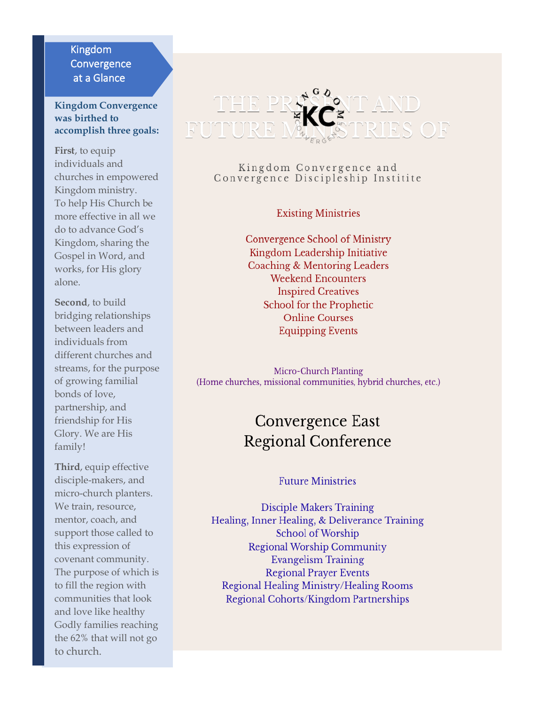#### Kingdom **Convergence** at a Glance

#### **Kingdom Convergence was birthed to accomplish three goals:**

**First**, to equip individuals and churches in empowered Kingdom ministry. To help His Church be more effective in all we do to advance God's Kingdom, sharing the Gospel in Word, and works, for His glory alone.

**Second**, to build bridging relationships between leaders and individuals from different churches and streams, for the purpose of growing familial bonds of love, partnership, and friendship for His Glory. We are His family!

**Third**, equip effective disciple-makers, and micro-church planters. We train, resource, mentor, coach, and support those called to this expression of covenant community. The purpose of which is to fill the region with communities that look and love like healthy Godly families reaching the 62% that will not go to church.



#### Kingdom Convergence and Convergence Discipleship Institite

#### **Existing Ministries**

Convergence School of Ministry Kingdom Leadership Initiative Coaching & Mentoring Leaders **Weekend Encounters Inspired Creatives** School for the Prophetic **Online Courses Equipping Events** 

Micro-Church Planting (Home churches, missional communities, hybrid churches, etc.)

### Convergence East **Regional Conference**

#### **Future Ministries**

**Disciple Makers Training** Healing, Inner Healing, & Deliverance Training School of Worship **Regional Worship Community Evangelism Training Regional Prayer Events** Regional Healing Ministry/Healing Rooms Regional Cohorts/Kingdom Partnerships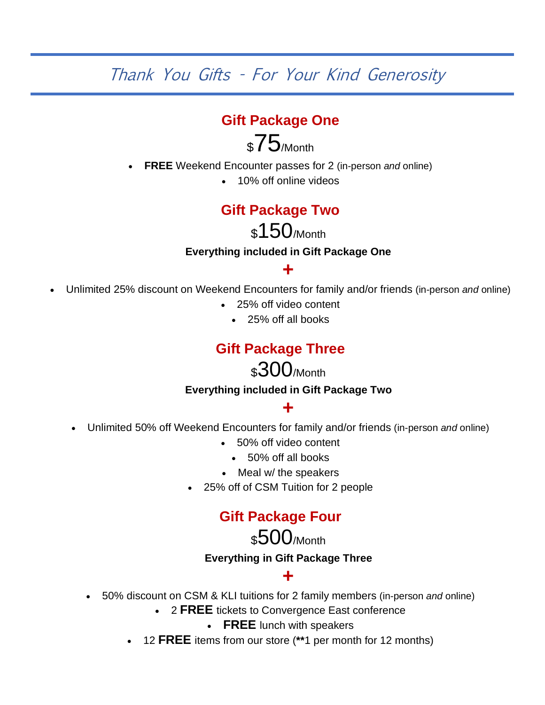Thank You Gifts - For Your Kind Generosity

#### **Gift Package One**

## \$75/Month

- **FREE** Weekend Encounter passes for 2 (in-person *and* online)
	- 10% off online videos

#### **Gift Package Two**

\$150/Month

#### **Everything included in Gift Package One**

#### **+**

- Unlimited 25% discount on Weekend Encounters for family and/or friends (in-person *and* online)
	- 25% off video content
		- 25% off all books

#### **Gift Package Three**

### \$300/Month

#### **Everything included in Gift Package Two**

### **+**

- Unlimited 50% off Weekend Encounters for family and/or friends (in-person *and* online)
	- 50% off video content
		- 50% off all books
	- Meal w/ the speakers
	- 25% off of CSM Tuition for 2 people

#### **Gift Package Four**

### \$500/Month

### **Everything in Gift Package Three +**

- 50% discount on CSM & KLI tuitions for 2 family members (in-person *and* online)
	- 2 **FREE** tickets to Convergence East conference
		- **FREE** lunch with speakers
	- 12 **FREE** items from our store (**\*\***1 per month for 12 months)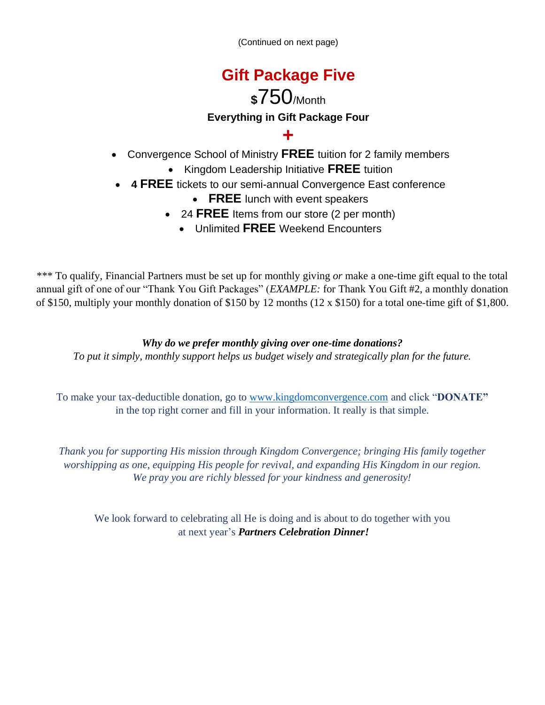(Continued on next page)

## **Gift Package Five**

### **\$**750/Month **Everything in Gift Package Four**

#### **+**

- Convergence School of Ministry **FREE** tuition for 2 family members
	- Kingdom Leadership Initiative **FREE** tuition
- **4 FREE** tickets to our semi-annual Convergence East conference
	- **FREE** lunch with event speakers
	- 24 **FREE** Items from our store (2 per month)
		- Unlimited **FREE** Weekend Encounters

\*\*\* To qualify, Financial Partners must be set up for monthly giving *or* make a one-time gift equal to the total annual gift of one of our "Thank You Gift Packages" (*EXAMPLE:* for Thank You Gift #2, a monthly donation of \$150, multiply your monthly donation of \$150 by 12 months (12 x \$150) for a total one-time gift of \$1,800.

*Why do we prefer monthly giving over one-time donations? To put it simply, monthly support helps us budget wisely and strategically plan for the future.*

To make your tax-deductible donation, go to [www.kingdomconvergence.com](http://www.kingdomconvergence.com/) and click "**DONATE"** in the top right corner and fill in your information. It really is that simple.

*Thank you for supporting His mission through Kingdom Convergence; bringing His family together worshipping as one, equipping His people for revival, and expanding His Kingdom in our region. We pray you are richly blessed for your kindness and generosity!*

We look forward to celebrating all He is doing and is about to do together with you at next year's *Partners Celebration Dinner!*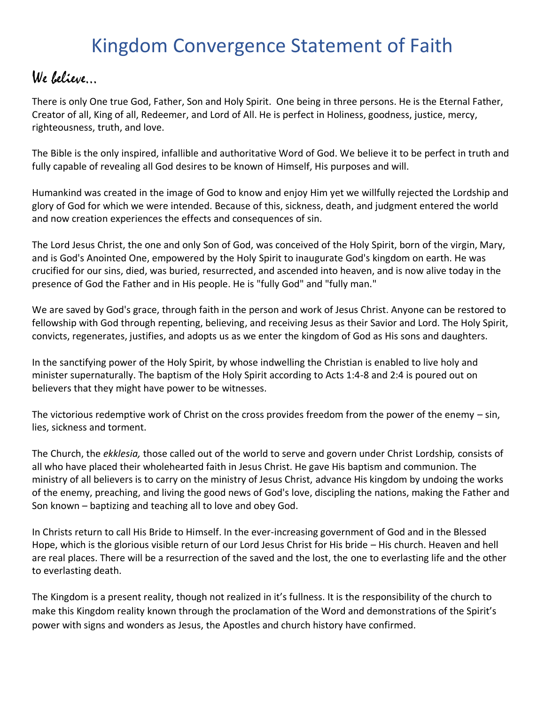## Kingdom Convergence Statement of Faith

### We believe…

There is only One true God, Father, Son and Holy Spirit. One being in three persons. He is the Eternal Father, Creator of all, King of all, Redeemer, and Lord of All. He is perfect in Holiness, goodness, justice, mercy, righteousness, truth, and love.

The Bible is the only inspired, infallible and authoritative Word of God. We believe it to be perfect in truth and fully capable of revealing all God desires to be known of Himself, His purposes and will.

Humankind was created in the image of God to know and enjoy Him yet we willfully rejected the Lordship and glory of God for which we were intended. Because of this, sickness, death, and judgment entered the world and now creation experiences the effects and consequences of sin.

The Lord Jesus Christ, the one and only Son of God, was conceived of the Holy Spirit, born of the virgin, Mary, and is God's Anointed One, empowered by the Holy Spirit to inaugurate God's kingdom on earth. He was crucified for our sins, died, was buried, resurrected, and ascended into heaven, and is now alive today in the presence of God the Father and in His people. He is "fully God" and "fully man."

We are saved by God's grace, through faith in the person and work of Jesus Christ. Anyone can be restored to fellowship with God through repenting, believing, and receiving Jesus as their Savior and Lord. The Holy Spirit, convicts, regenerates, justifies, and adopts us as we enter the kingdom of God as His sons and daughters.

In the sanctifying power of the Holy Spirit, by whose indwelling the Christian is enabled to live holy and minister supernaturally. The baptism of the Holy Spirit according to Acts 1:4-8 and 2:4 is poured out on believers that they might have power to be witnesses.

The victorious redemptive work of Christ on the cross provides freedom from the power of the enemy – sin, lies, sickness and torment.

The Church, the *ekklesia,* those called out of the world to serve and govern under Christ Lordship*,* consists of all who have placed their wholehearted faith in Jesus Christ. He gave His baptism and communion. The ministry of all believers is to carry on the ministry of Jesus Christ, advance His kingdom by undoing the works of the enemy, preaching, and living the good news of God's love, discipling the nations, making the Father and Son known – baptizing and teaching all to love and obey God.

In Christs return to call His Bride to Himself. In the ever-increasing government of God and in the Blessed Hope, which is the glorious visible return of our Lord Jesus Christ for His bride – His church. Heaven and hell are real places. There will be a resurrection of the saved and the lost, the one to everlasting life and the other to everlasting death.

The Kingdom is a present reality, though not realized in it's fullness. It is the responsibility of the church to make this Kingdom reality known through the proclamation of the Word and demonstrations of the Spirit's power with signs and wonders as Jesus, the Apostles and church history have confirmed.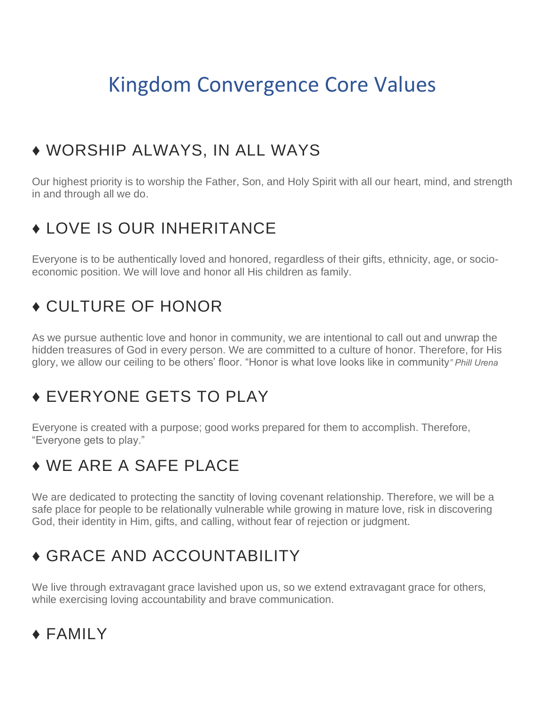## Kingdom Convergence Core Values

### ♦ WORSHIP ALWAYS, IN ALL WAYS

Our highest priority is to worship the Father, Son, and Holy Spirit with all our heart, mind, and strength in and through all we do.

## ♦ LOVE IS OUR INHERITANCE

Everyone is to be authentically loved and honored, regardless of their gifts, ethnicity, age, or socioeconomic position. We will love and honor all His children as family.

## ♦ CULTURE OF HONOR

As we pursue authentic love and honor in community, we are intentional to call out and unwrap the hidden treasures of God in every person. We are committed to a culture of honor. Therefore, for His glory, we allow our ceiling to be others' floor. "Honor is what love looks like in community*" Phill Urena*

## ♦ EVERYONE GETS TO PLAY

Everyone is created with a purpose; good works prepared for them to accomplish. Therefore, "Everyone gets to play."

## ♦ WE ARE A SAFE PLACE

We are dedicated to protecting the sanctity of loving covenant relationship. Therefore, we will be a safe place for people to be relationally vulnerable while growing in mature love, risk in discovering God, their identity in Him, gifts, and calling, without fear of rejection or judgment.

## ♦ GRACE AND ACCOUNTABILITY

We live through extravagant grace lavished upon us, so we extend extravagant grace for others, while exercising loving accountability and brave communication.

### ♦ FAMILY